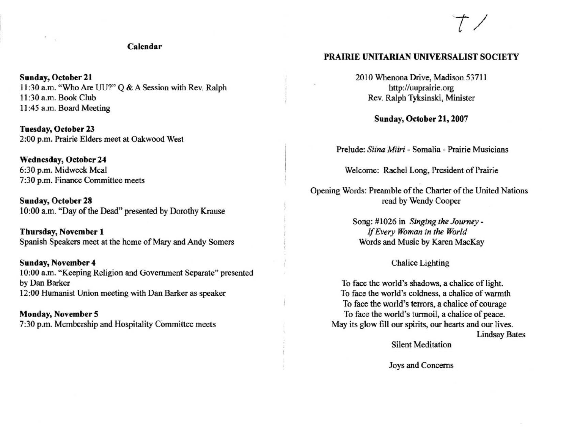### **Calendar**

**Sunday, October 21** II :30 a.m. "Who Are UU?" Q & A Session with Rev. Ralph II :30 a.m. Book Club II :45 a.m. Board Meeting

**Tuesday, October 23**  2:00 p.m. Prairie Elders meet at Oakwood West

Wednesday, October 24 6:30 p.m. Midweek Meal **7:30 p.m. Finance Committee meets** 

Sunday, October 28 10:00 a.m. "Day of the Dead" presented by Dorothy Krause

**Thursday, November 1** Spanish Speakers meet at the home of Mary and Andy Somers

**Sunday, November 4 10:00 8.m. "Keeping Religion and Government Separate" presented**  by Dan Barker **12:00 Humanist Union meeting with Dan Barker as speaker** 

**Monday, November 5** 7:30 p.m. Membership and Hospitality Committee meets

### **PRAIRIE** UNITARIAN UNIVERSALIST SOCIETY

2010 Whenona Drive, Madison 53711 http://uuprairie.org Rev. Ralph Tyksinski, Minister

Sunday, October 21, 2007

**Prelude:** *Siina Miiri* **- Somalia - Prairie Musicians** 

**Welcome: Rachel Long, President of Prairie** 

Opening Words: Preamble of the Charter of the United Nations read by Wendy Cooper

> Song: # 1026 in *Singing the Journey -* If *Every Woman in the World*  **Words and Music by Karen MacKay**

> > Chalice Lighting

**To face the world's shadows, a chalice of light. To face the world's coldness, a chalice of warmth**  To face the world's terrors, a chalice of courage **To face the world's turmoil, a chalice of peace. May its glow fill our spirits, our hearts and our lives. Lindsay Bates** 

**Silent Meditation** 

**Joys and Concerns**